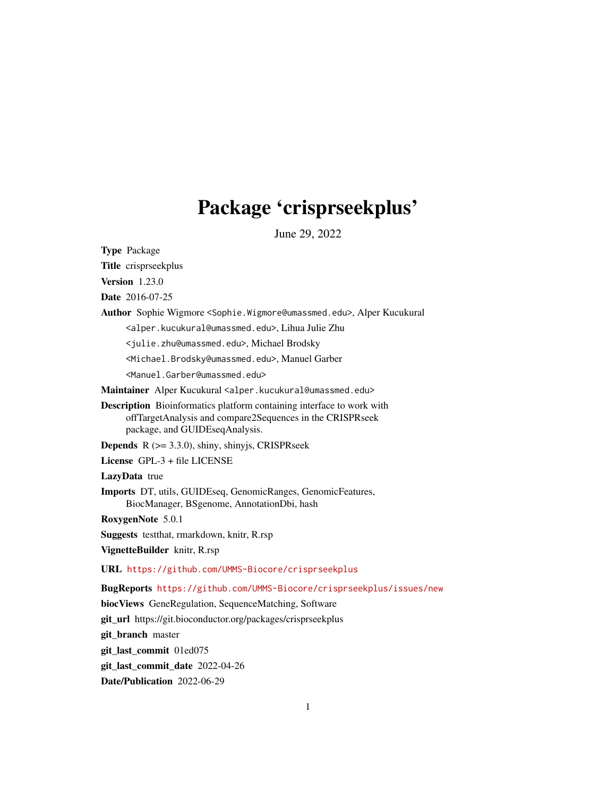# Package 'crisprseekplus'

June 29, 2022

Type Package

Title crisprseekplus

Version 1.23.0

Date 2016-07-25

Author Sophie Wigmore <Sophie.Wigmore@umassmed.edu>, Alper Kucukural

<alper.kucukural@umassmed.edu>, Lihua Julie Zhu

<julie.zhu@umassmed.edu>, Michael Brodsky

<Michael.Brodsky@umassmed.edu>, Manuel Garber

<Manuel.Garber@umassmed.edu>

Maintainer Alper Kucukural <alper.kucukural@umassmed.edu>

Description Bioinformatics platform containing interface to work with offTargetAnalysis and compare2Sequences in the CRISPRseek package, and GUIDEseqAnalysis.

**Depends**  $R$  ( $> = 3.3.0$ ), shiny, shinyjs, CRISPRseek

License GPL-3 + file LICENSE

LazyData true

Imports DT, utils, GUIDEseq, GenomicRanges, GenomicFeatures, BiocManager, BSgenome, AnnotationDbi, hash

RoxygenNote 5.0.1

Suggests testthat, rmarkdown, knitr, R.rsp

VignetteBuilder knitr, R.rsp

URL <https://github.com/UMMS-Biocore/crisprseekplus>

BugReports <https://github.com/UMMS-Biocore/crisprseekplus/issues/new>

biocViews GeneRegulation, SequenceMatching, Software

git\_url https://git.bioconductor.org/packages/crisprseekplus

git\_branch master

git\_last\_commit 01ed075

git\_last\_commit\_date 2022-04-26

Date/Publication 2022-06-29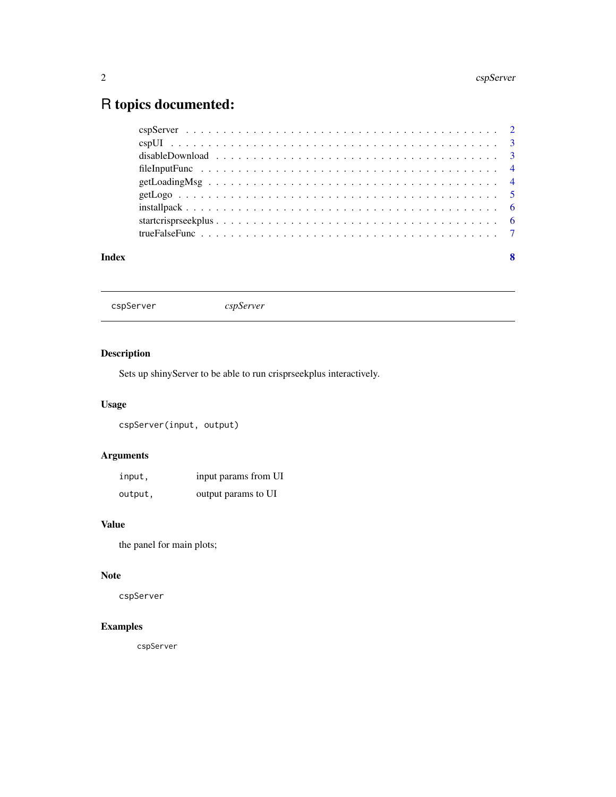# <span id="page-1-0"></span>R topics documented:

#### **Index** [8](#page-7-0) **8**

cspServer *cspServer*

# Description

Sets up shinyServer to be able to run crisprseekplus interactively.

# Usage

cspServer(input, output)

# Arguments

| input,  | input params from UI |
|---------|----------------------|
| output, | output params to UI  |

#### Value

the panel for main plots;

# Note

cspServer

# Examples

cspServer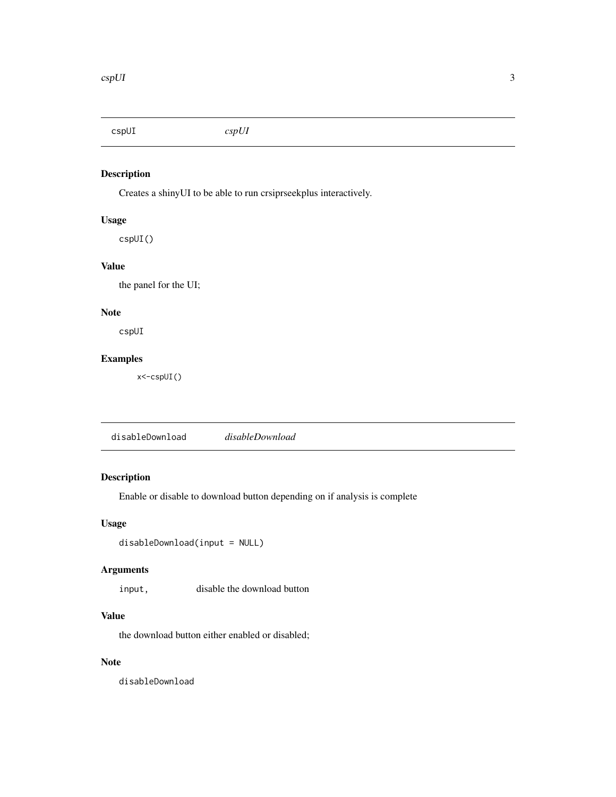<span id="page-2-0"></span>cspUI *cspUI*

# Description

Creates a shinyUI to be able to run crsiprseekplus interactively.

#### Usage

cspUI()

# Value

the panel for the UI;

# Note

cspUI

# Examples

x<-cspUI()

# Description

Enable or disable to download button depending on if analysis is complete

# Usage

```
disableDownload(input = NULL)
```
# Arguments

input, disable the download button

# Value

the download button either enabled or disabled;

# Note

disableDownload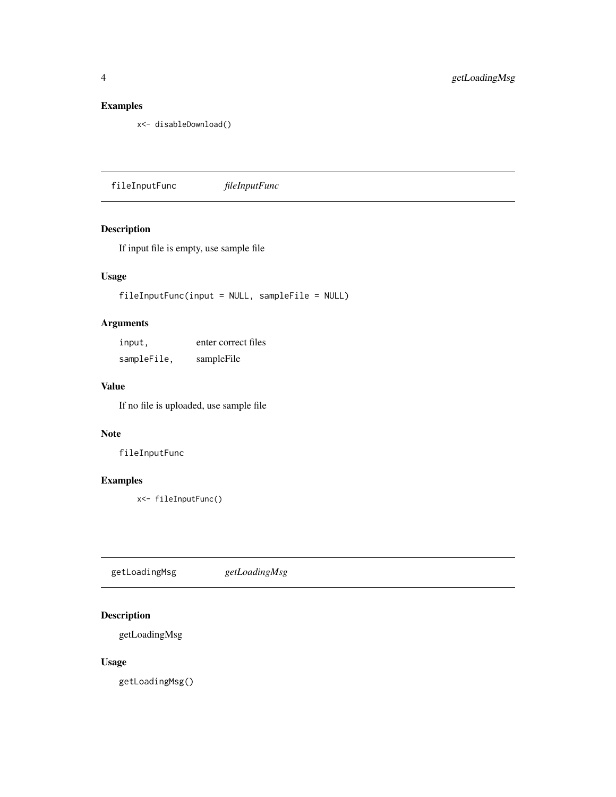# <span id="page-3-0"></span>Examples

```
x<- disableDownload()
```
fileInputFunc *fileInputFunc*

# Description

If input file is empty, use sample file

# Usage

fileInputFunc(input = NULL, sampleFile = NULL)

# Arguments

| input,      | enter correct files |
|-------------|---------------------|
| sampleFile, | sampleFile          |

# Value

If no file is uploaded, use sample file

#### Note

fileInputFunc

#### Examples

x<- fileInputFunc()

getLoadingMsg *getLoadingMsg*

# Description

getLoadingMsg

# Usage

getLoadingMsg()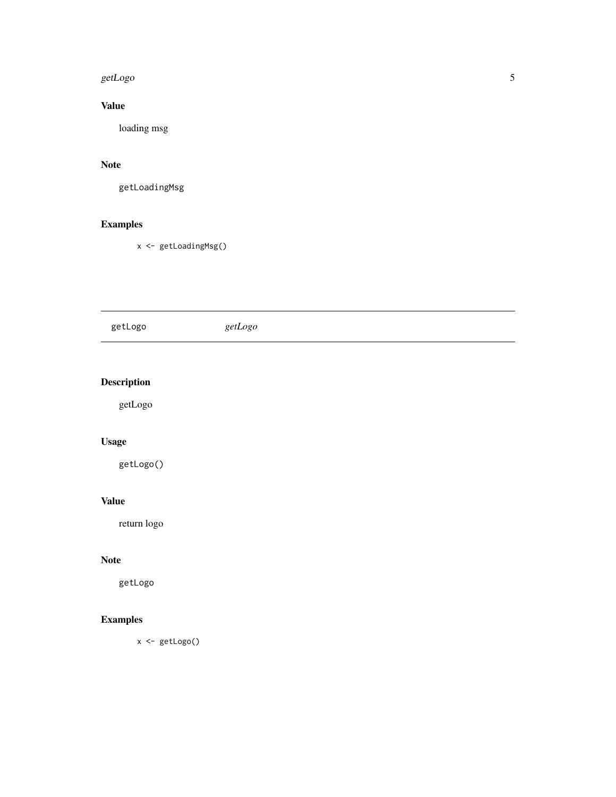#### <span id="page-4-0"></span>getLogo 55 and 55 and 55 and 55 and 55 and 55 and 55 and 55 and 55 and 55 and 55 and 55 and 55 and 55 and 55 and 55 and 55 and 55 and 55 and 55 and 55 and 55 and 55 and 55 and 55 and 55 and 55 and 55 and 55 and 55 and 55 a

# Value

loading msg

#### Note

getLoadingMsg

# Examples

x <- getLoadingMsg()

| getLogo            | getLogo |
|--------------------|---------|
|                    |         |
| <b>Description</b> |         |
| getLogo            |         |
| Usage              |         |
| getLogo()          |         |

# Value

return logo

# Note

getLogo

# Examples

x <- getLogo()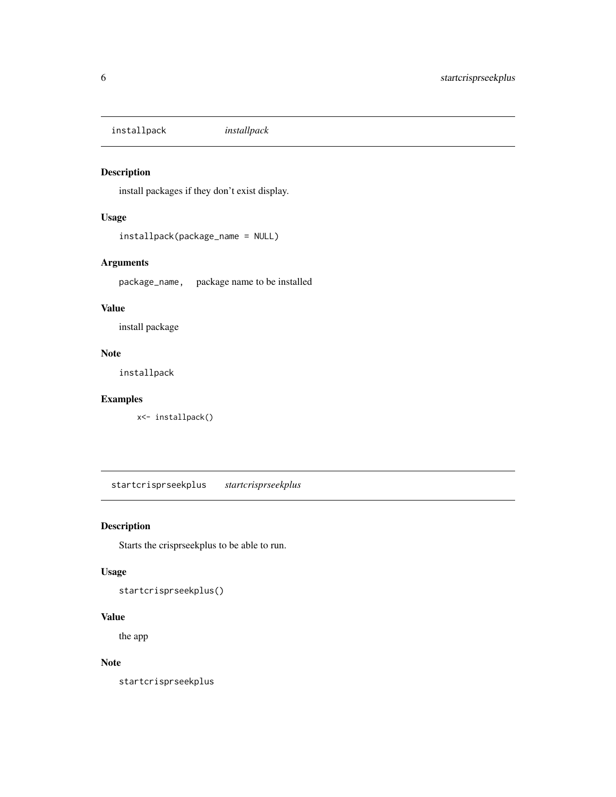<span id="page-5-0"></span>installpack *installpack*

# Description

install packages if they don't exist display.

# Usage

```
installpack(package_name = NULL)
```
# Arguments

package\_name, package name to be installed

## Value

install package

#### Note

installpack

#### Examples

x<- installpack()

startcrisprseekplus *startcrisprseekplus*

# Description

Starts the crisprseekplus to be able to run.

# Usage

startcrisprseekplus()

# Value

the app

#### Note

startcrisprseekplus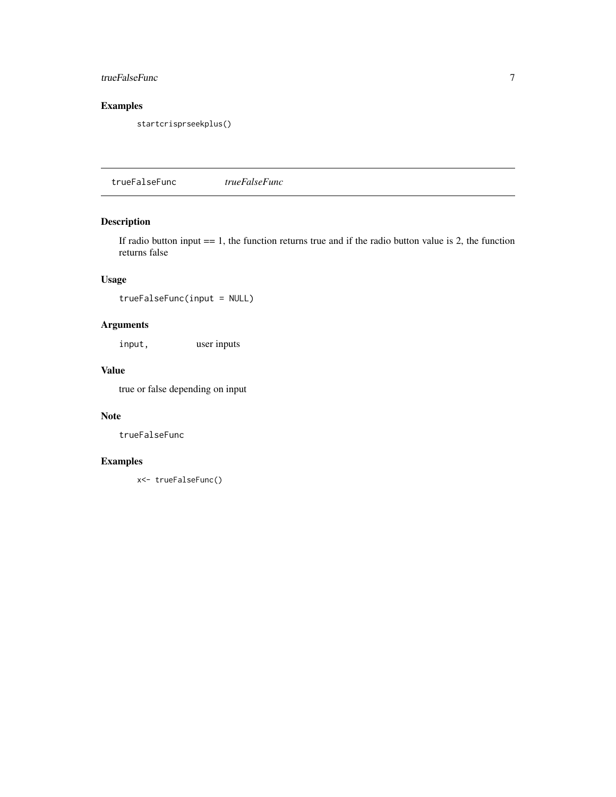# <span id="page-6-0"></span>trueFalseFunc 7

# Examples

startcrisprseekplus()

trueFalseFunc *trueFalseFunc*

# Description

If radio button input  $=$  1, the function returns true and if the radio button value is 2, the function returns false

# Usage

trueFalseFunc(input = NULL)

# Arguments

input, user inputs

#### Value

true or false depending on input

# Note

trueFalseFunc

# Examples

x<- trueFalseFunc()